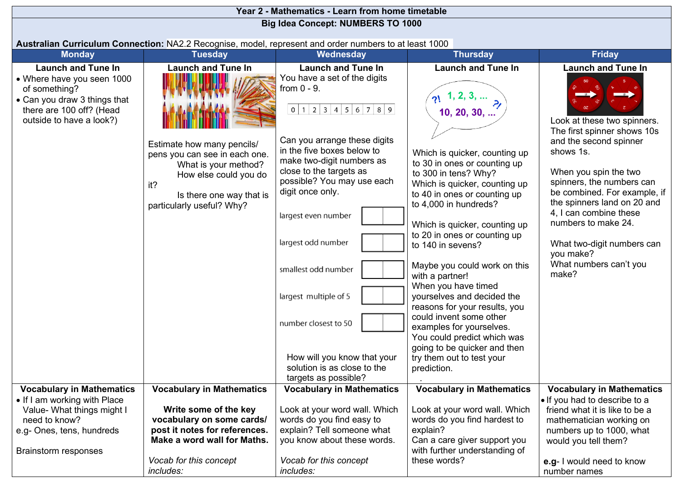| Year 2 - Mathematics - Learn from home timetable                                                                                                                                           |                                                                                                                                                                                                           |                                                                                                                                                                                                                                                                                                                                                                                                                                                                                        |                                                                                                                                                                                                                                                                                                                                                                                                                                                                                                                                                                                                                                          |                                                                                                                                                                                                                                                                                                                                                                                                                |  |  |  |  |  |  |  |
|--------------------------------------------------------------------------------------------------------------------------------------------------------------------------------------------|-----------------------------------------------------------------------------------------------------------------------------------------------------------------------------------------------------------|----------------------------------------------------------------------------------------------------------------------------------------------------------------------------------------------------------------------------------------------------------------------------------------------------------------------------------------------------------------------------------------------------------------------------------------------------------------------------------------|------------------------------------------------------------------------------------------------------------------------------------------------------------------------------------------------------------------------------------------------------------------------------------------------------------------------------------------------------------------------------------------------------------------------------------------------------------------------------------------------------------------------------------------------------------------------------------------------------------------------------------------|----------------------------------------------------------------------------------------------------------------------------------------------------------------------------------------------------------------------------------------------------------------------------------------------------------------------------------------------------------------------------------------------------------------|--|--|--|--|--|--|--|
|                                                                                                                                                                                            |                                                                                                                                                                                                           | <b>Big Idea Concept: NUMBERS TO 1000</b>                                                                                                                                                                                                                                                                                                                                                                                                                                               |                                                                                                                                                                                                                                                                                                                                                                                                                                                                                                                                                                                                                                          |                                                                                                                                                                                                                                                                                                                                                                                                                |  |  |  |  |  |  |  |
|                                                                                                                                                                                            |                                                                                                                                                                                                           |                                                                                                                                                                                                                                                                                                                                                                                                                                                                                        |                                                                                                                                                                                                                                                                                                                                                                                                                                                                                                                                                                                                                                          |                                                                                                                                                                                                                                                                                                                                                                                                                |  |  |  |  |  |  |  |
| Australian Curriculum Connection: NA2.2 Recognise, model, represent and order numbers to at least 1000<br><b>Friday</b><br><b>Tuesday</b><br><b>Thursday</b><br><b>Monday</b><br>Wednesday |                                                                                                                                                                                                           |                                                                                                                                                                                                                                                                                                                                                                                                                                                                                        |                                                                                                                                                                                                                                                                                                                                                                                                                                                                                                                                                                                                                                          |                                                                                                                                                                                                                                                                                                                                                                                                                |  |  |  |  |  |  |  |
|                                                                                                                                                                                            |                                                                                                                                                                                                           |                                                                                                                                                                                                                                                                                                                                                                                                                                                                                        |                                                                                                                                                                                                                                                                                                                                                                                                                                                                                                                                                                                                                                          |                                                                                                                                                                                                                                                                                                                                                                                                                |  |  |  |  |  |  |  |
| <b>Launch and Tune In</b><br>• Where have you seen 1000<br>of something?<br>• Can you draw 3 things that<br>there are 100 off? (Head<br>outside to have a look?)                           | <b>Launch and Tune In</b><br>Estimate how many pencils/<br>pens you can see in each one.<br>What is your method?<br>How else could you do<br>it?<br>Is there one way that is<br>particularly useful? Why? | <b>Launch and Tune In</b><br>You have a set of the digits<br>from $0 - 9$ .<br>0 1 2 3 4 5 6 7 8 9 <br>Can you arrange these digits<br>in the five boxes below to<br>make two-digit numbers as<br>close to the targets as<br>possible? You may use each<br>digit once only.<br>largest even number<br>largest odd number<br>smallest odd number<br>largest multiple of 5<br>number closest to 50<br>How will you know that your<br>solution is as close to the<br>targets as possible? | <b>Launch and Tune In</b><br>1, 2, 3,<br>10, 20, 30,<br>Which is quicker, counting up<br>to 30 in ones or counting up<br>to 300 in tens? Why?<br>Which is quicker, counting up<br>to 40 in ones or counting up<br>to 4,000 in hundreds?<br>Which is quicker, counting up<br>to 20 in ones or counting up<br>to 140 in sevens?<br>Maybe you could work on this<br>with a partner!<br>When you have timed<br>yourselves and decided the<br>reasons for your results, you<br>could invent some other<br>examples for yourselves.<br>You could predict which was<br>going to be quicker and then<br>try them out to test your<br>prediction. | <b>Launch and Tune In</b><br>$\overline{\phantom{a}}$<br>Look at these two spinners.<br>The first spinner shows 10s<br>and the second spinner<br>shows 1s.<br>When you spin the two<br>spinners, the numbers can<br>be combined. For example, if<br>the spinners land on 20 and<br>4, I can combine these<br>numbers to make 24.<br>What two-digit numbers can<br>you make?<br>What numbers can't you<br>make? |  |  |  |  |  |  |  |
| <b>Vocabulary in Mathematics</b>                                                                                                                                                           | <b>Vocabulary in Mathematics</b>                                                                                                                                                                          | <b>Vocabulary in Mathematics</b>                                                                                                                                                                                                                                                                                                                                                                                                                                                       | <b>Vocabulary in Mathematics</b>                                                                                                                                                                                                                                                                                                                                                                                                                                                                                                                                                                                                         | <b>Vocabulary in Mathematics</b>                                                                                                                                                                                                                                                                                                                                                                               |  |  |  |  |  |  |  |
| • If I am working with Place<br>Value- What things might I                                                                                                                                 | Write some of the key                                                                                                                                                                                     | Look at your word wall. Which                                                                                                                                                                                                                                                                                                                                                                                                                                                          | Look at your word wall. Which                                                                                                                                                                                                                                                                                                                                                                                                                                                                                                                                                                                                            | . If you had to describe to a<br>friend what it is like to be a                                                                                                                                                                                                                                                                                                                                                |  |  |  |  |  |  |  |
| need to know?                                                                                                                                                                              | vocabulary on some cards/                                                                                                                                                                                 | words do you find easy to                                                                                                                                                                                                                                                                                                                                                                                                                                                              | words do you find hardest to                                                                                                                                                                                                                                                                                                                                                                                                                                                                                                                                                                                                             | mathematician working on                                                                                                                                                                                                                                                                                                                                                                                       |  |  |  |  |  |  |  |
| e.g- Ones, tens, hundreds                                                                                                                                                                  | post it notes for references.                                                                                                                                                                             | explain? Tell someone what                                                                                                                                                                                                                                                                                                                                                                                                                                                             | explain?                                                                                                                                                                                                                                                                                                                                                                                                                                                                                                                                                                                                                                 | numbers up to 1000, what                                                                                                                                                                                                                                                                                                                                                                                       |  |  |  |  |  |  |  |
|                                                                                                                                                                                            | Make a word wall for Maths.                                                                                                                                                                               | you know about these words.                                                                                                                                                                                                                                                                                                                                                                                                                                                            | Can a care giver support you                                                                                                                                                                                                                                                                                                                                                                                                                                                                                                                                                                                                             | would you tell them?                                                                                                                                                                                                                                                                                                                                                                                           |  |  |  |  |  |  |  |
| <b>Brainstorm responses</b>                                                                                                                                                                |                                                                                                                                                                                                           |                                                                                                                                                                                                                                                                                                                                                                                                                                                                                        | with further understanding of                                                                                                                                                                                                                                                                                                                                                                                                                                                                                                                                                                                                            |                                                                                                                                                                                                                                                                                                                                                                                                                |  |  |  |  |  |  |  |
|                                                                                                                                                                                            | Vocab for this concept                                                                                                                                                                                    | Vocab for this concept                                                                                                                                                                                                                                                                                                                                                                                                                                                                 | these words?                                                                                                                                                                                                                                                                                                                                                                                                                                                                                                                                                                                                                             | e.g- I would need to know                                                                                                                                                                                                                                                                                                                                                                                      |  |  |  |  |  |  |  |
|                                                                                                                                                                                            | includes:                                                                                                                                                                                                 | includes:                                                                                                                                                                                                                                                                                                                                                                                                                                                                              |                                                                                                                                                                                                                                                                                                                                                                                                                                                                                                                                                                                                                                          | number names                                                                                                                                                                                                                                                                                                                                                                                                   |  |  |  |  |  |  |  |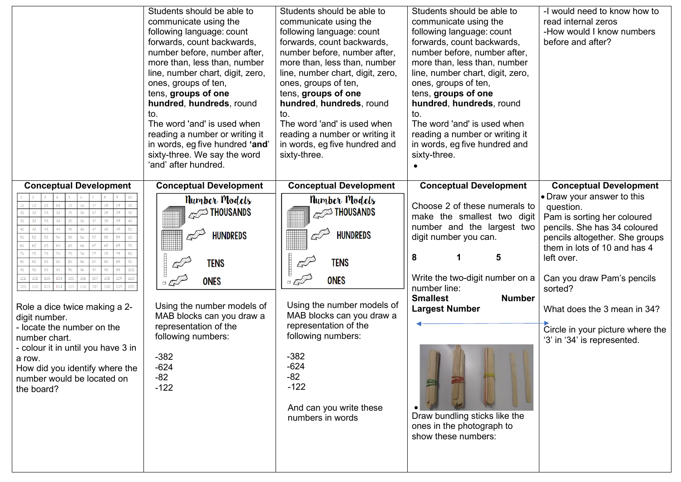|                                                                                                                                                                                                                                                                                                                                                                                   | Students should be able to<br>communicate using the<br>following language: count<br>forwards, count backwards,<br>number before, number after,<br>more than, less than, number<br>line, number chart, digit, zero,<br>ones, groups of ten,<br>tens, groups of one<br>hundred, hundreds, round<br>to.<br>The word 'and' is used when<br>reading a number or writing it<br>in words, eg five hundred 'and'<br>sixty-three. We say the word<br>'and' after hundred. | Students should be able to<br>communicate using the<br>following language: count<br>forwards, count backwards,<br>number before, number after,<br>more than, less than, number<br>line, number chart, digit, zero,<br>ones, groups of ten,<br>tens, groups of one<br>hundred, hundreds, round<br>to.<br>The word 'and' is used when<br>reading a number or writing it<br>in words, eg five hundred and<br>sixty-three. | Students should be able to<br>communicate using the<br>following language: count<br>forwards, count backwards,<br>number before, number after,<br>more than, less than, number<br>line, number chart, digit, zero,<br>ones, groups of ten,<br>tens, groups of one<br>hundred, hundreds, round<br>to.<br>The word 'and' is used when<br>reading a number or writing it<br>in words, eg five hundred and<br>sixty-three. | -I would need to know how to<br>read internal zeros<br>-How would I know numbers<br>before and after?                                                                                                                                                                                                                                                              |
|-----------------------------------------------------------------------------------------------------------------------------------------------------------------------------------------------------------------------------------------------------------------------------------------------------------------------------------------------------------------------------------|------------------------------------------------------------------------------------------------------------------------------------------------------------------------------------------------------------------------------------------------------------------------------------------------------------------------------------------------------------------------------------------------------------------------------------------------------------------|------------------------------------------------------------------------------------------------------------------------------------------------------------------------------------------------------------------------------------------------------------------------------------------------------------------------------------------------------------------------------------------------------------------------|------------------------------------------------------------------------------------------------------------------------------------------------------------------------------------------------------------------------------------------------------------------------------------------------------------------------------------------------------------------------------------------------------------------------|--------------------------------------------------------------------------------------------------------------------------------------------------------------------------------------------------------------------------------------------------------------------------------------------------------------------------------------------------------------------|
| <b>Conceptual Development</b><br>33<br>44<br>61<br>44<br>94<br>97<br>100 <sub>1</sub><br>93.<br>98.<br>99<br>101<br>102<br>103<br>$111$ 112<br>113<br>Role a dice twice making a 2-<br>digit number.<br>- locate the number on the<br>number chart.<br>- colour it in until you have 3 in<br>a row.<br>How did you identify where the<br>number would be located on<br>the board? | <b>Conceptual Development</b><br><b>Number Models</b><br><b>ANDREW THOUSANDS</b><br><b>HUNDREDS</b><br><u>emm</u><br><b>TENS</b><br><b>ONES</b><br>$\mathbb{Z}^{\text{th}}$<br>Using the number models of<br>MAB blocks can you draw a<br>representation of the<br>following numbers:<br>$-382$<br>$-624$<br>$-82$<br>$-122$                                                                                                                                     | <b>Conceptual Development</b><br><b>Number Models</b><br><b>ANDRI THOUSANDS</b><br><b>HUNDREDS</b><br><b>TENS</b><br><b>ONES</b><br>Using the number models of<br>MAB blocks can you draw a<br>representation of the<br>following numbers:<br>$-382$<br>$-624$<br>$-82$<br>$-122$<br>And can you write these<br>numbers in words                                                                                       | <b>Conceptual Development</b><br>Choose 2 of these numerals to<br>make the smallest two digit<br>number and the largest two<br>digit number you can.<br>5<br>8<br>Write the two-digit number on a $ $<br>number line:<br><b>Number</b><br><b>Smallest</b><br><b>Largest Number</b><br>Draw bundling sticks like the<br>ones in the photograph to<br>show these numbers:                                                | <b>Conceptual Development</b><br>• Draw your answer to this<br>question.<br>Pam is sorting her coloured<br>pencils. She has 34 coloured<br>pencils altogether. She groups<br>them in lots of 10 and has 4<br>left over.<br>Can you draw Pam's pencils<br>sorted?<br>What does the 3 mean in 34?<br>Circle in your picture where the<br>'3' in '34' is represented. |